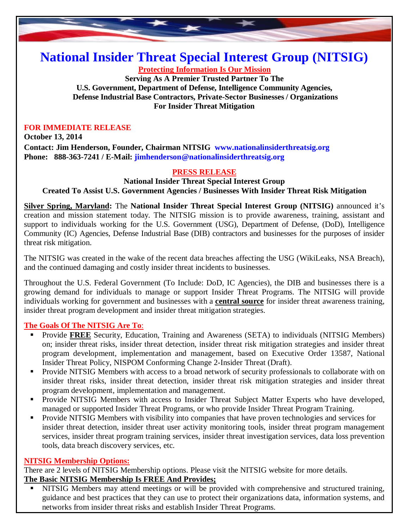

# **National Insider Threat Special Interest Group (NITSIG)**

**Protecting Information Is Our Mission**

**Serving As A Premier Trusted Partner To The U.S. Government, Department of Defense, Intelligence Community Agencies, Defense Industrial Base Contractors, Private-Sector Businesses / Organizations For Insider Threat Mitigation**

#### **FOR IMMEDIATE RELEASE**

**October 13, 2014 Contact: Jim Henderson, Founder, Chairman NITSIG www.nationalinsiderthreatsig.org Phone: 888-363-7241 / E-Mail: jimhenderson@nationalinsiderthreatsig.org**

## **PRESS RELEASE**

**National Insider Threat Special Interest Group Created To Assist U.S. Government Agencies / Businesses With Insider Threat Risk Mitigation**

**Silver Spring, Maryland:** The **National Insider Threat Special Interest Group (NITSIG)** announced it's creation and mission statement today. The NITSIG mission is to provide awareness, training, assistant and support to individuals working for the U.S. Government (USG), Department of Defense, (DoD), Intelligence Community (IC) Agencies, Defense Industrial Base (DIB) contractors and businesses for the purposes of insider threat risk mitigation.

The NITSIG was created in the wake of the recent data breaches affecting the USG (WikiLeaks, NSA Breach), and the continued damaging and costly insider threat incidents to businesses.

Throughout the U.S. Federal Government (To Include: DoD, IC Agencies), the DIB and businesses there is a growing demand for individuals to manage or support Insider Threat Programs. The NITSIG will provide individuals working for government and businesses with a **central source** for insider threat awareness training, insider threat program development and insider threat mitigation strategies.

## **The Goals Of The NITSIG Are To**:

- **Provide FREE** Security, Education, Training and Awareness (SETA) to individuals (NITSIG Members) on; insider threat risks, insider threat detection, insider threat risk mitigation strategies and insider threat program development, implementation and management, based on Executive Order 13587, National Insider Threat Policy, NISPOM Conforming Change 2-Insider Threat (Draft).
- **Provide NITSIG Members with access to a broad network of security professionals to collaborate with on** insider threat risks, insider threat detection, insider threat risk mitigation strategies and insider threat program development, implementation and management.
- **Provide NITSIG Members with access to Insider Threat Subject Matter Experts who have developed,** managed or supported Insider Threat Programs, or who provide Insider Threat Program Training.
- **Provide NITSIG Members with visibility into companies that have proven technologies and services for** insider threat detection, insider threat user activity monitoring tools, insider threat program management services, insider threat program training services, insider threat investigation services, data loss prevention tools, data breach discovery services, etc.

## **NITSIG Membership Options:**

There are 2 levels of NITSIG Membership options. Please visit the NITSIG website for more details.

# **The Basic NITSIG Membership Is FREE And Provides;**

 NITSIG Members may attend meetings or will be provided with comprehensive and structured training, guidance and best practices that they can use to protect their organizations data, information systems, and networks from insider threat risks and establish Insider Threat Programs.